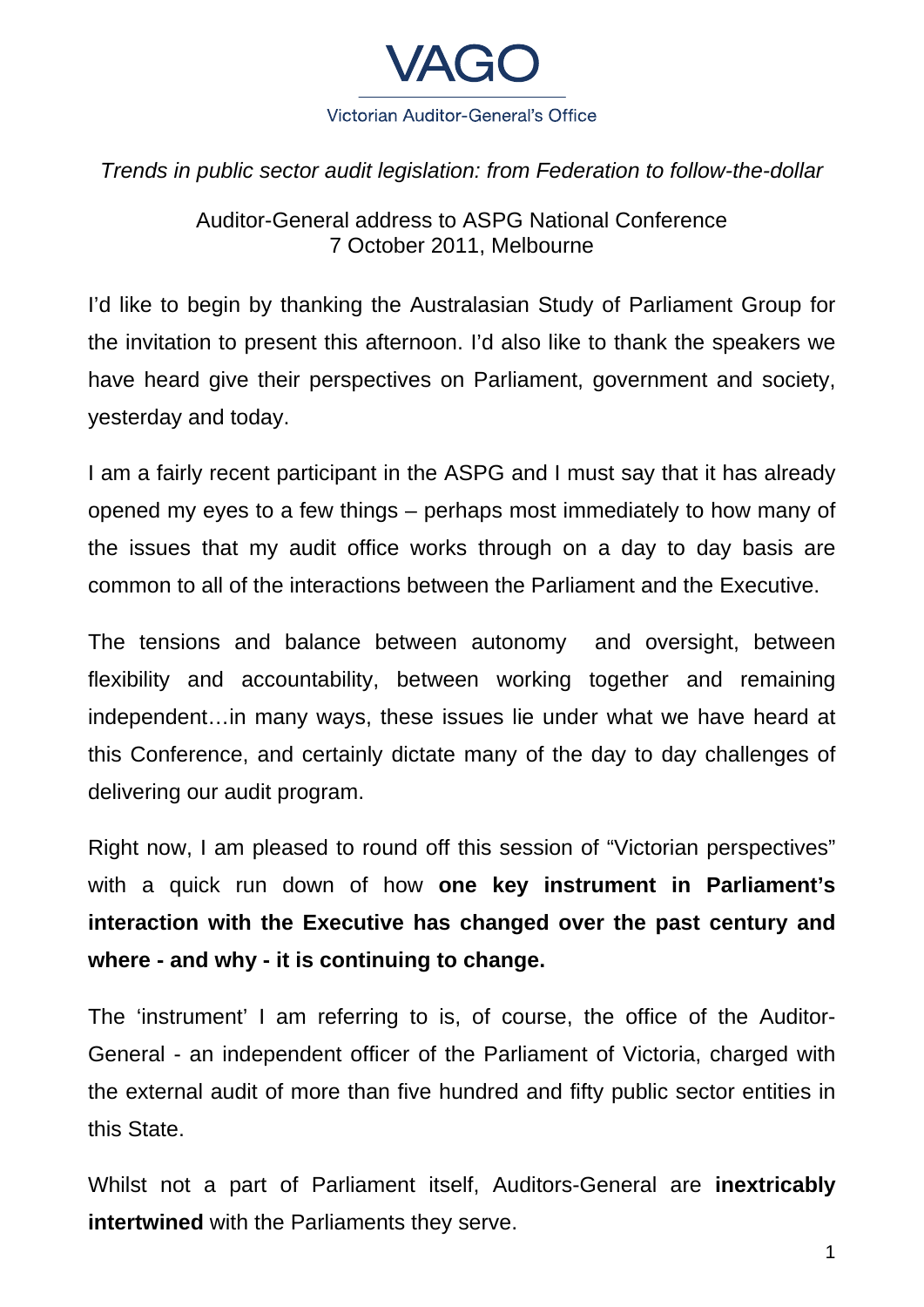

*Trends in public sector audit legislation: from Federation to follow-the-dollar* 

Auditor-General address to ASPG National Conference 7 October 2011, Melbourne

I'd like to begin by thanking the Australasian Study of Parliament Group for the invitation to present this afternoon. I'd also like to thank the speakers we have heard give their perspectives on Parliament, government and society, yesterday and today.

I am a fairly recent participant in the ASPG and I must say that it has already opened my eyes to a few things – perhaps most immediately to how many of the issues that my audit office works through on a day to day basis are common to all of the interactions between the Parliament and the Executive.

The tensions and balance between autonomy and oversight, between flexibility and accountability, between working together and remaining independent…in many ways, these issues lie under what we have heard at this Conference, and certainly dictate many of the day to day challenges of delivering our audit program.

Right now, I am pleased to round off this session of "Victorian perspectives" with a quick run down of how **one key instrument in Parliament's interaction with the Executive has changed over the past century and where - and why - it is continuing to change.**

The 'instrument' I am referring to is, of course, the office of the Auditor-General - an independent officer of the Parliament of Victoria, charged with the external audit of more than five hundred and fifty public sector entities in this State.

Whilst not a part of Parliament itself, Auditors-General are **inextricably intertwined** with the Parliaments they serve.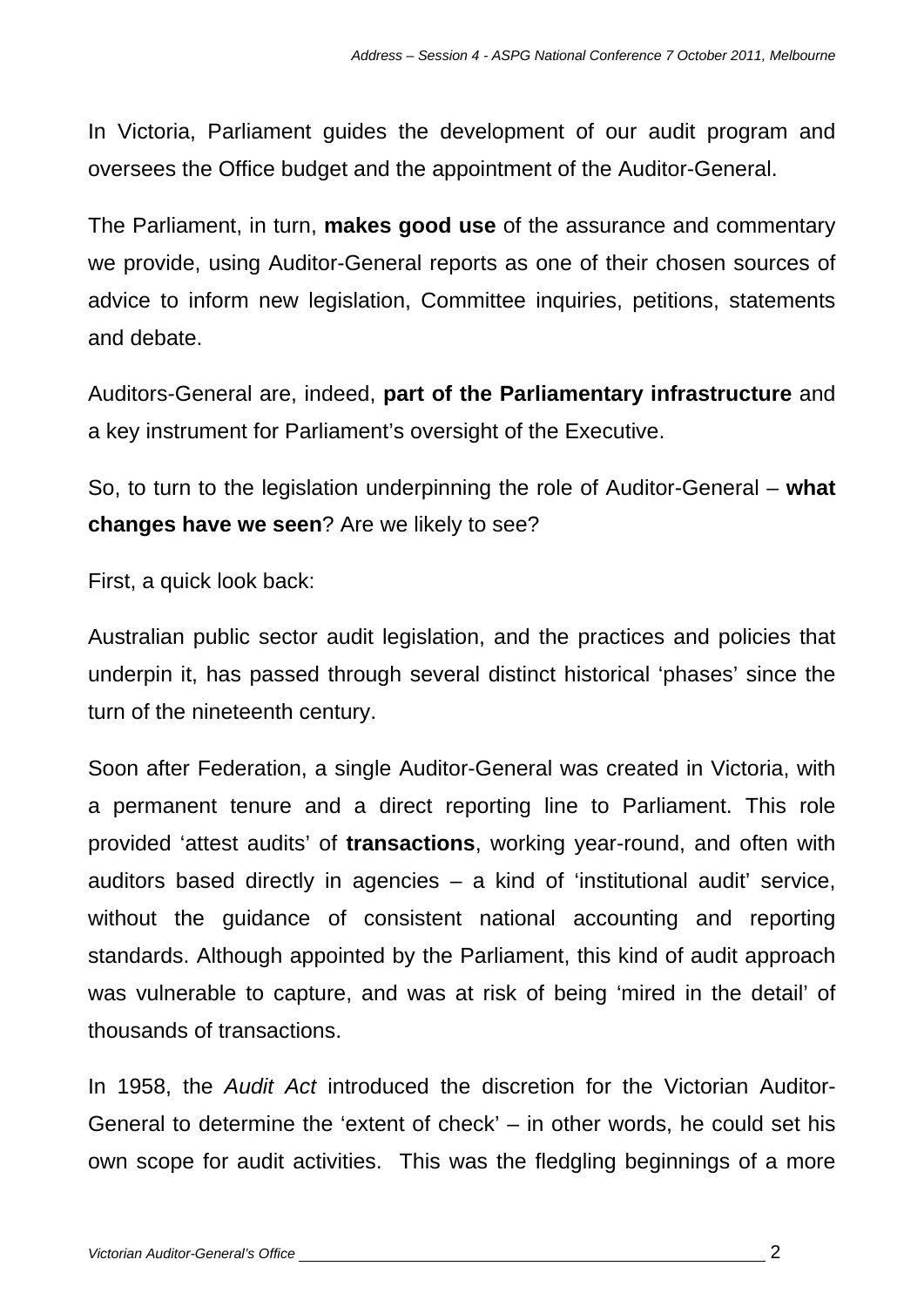In Victoria, Parliament guides the development of our audit program and oversees the Office budget and the appointment of the Auditor-General.

The Parliament, in turn, **makes good use** of the assurance and commentary we provide, using Auditor-General reports as one of their chosen sources of advice to inform new legislation, Committee inquiries, petitions, statements and debate.

Auditors-General are, indeed, **part of the Parliamentary infrastructure** and a key instrument for Parliament's oversight of the Executive.

So, to turn to the legislation underpinning the role of Auditor-General – **what changes have we seen**? Are we likely to see?

First, a quick look back:

Australian public sector audit legislation, and the practices and policies that underpin it, has passed through several distinct historical 'phases' since the turn of the nineteenth century.

Soon after Federation, a single Auditor-General was created in Victoria, with a permanent tenure and a direct reporting line to Parliament. This role provided 'attest audits' of **transactions**, working year-round, and often with auditors based directly in agencies – a kind of 'institutional audit' service, without the guidance of consistent national accounting and reporting standards. Although appointed by the Parliament, this kind of audit approach was vulnerable to capture, and was at risk of being 'mired in the detail' of thousands of transactions.

In 1958, the *Audit Act* introduced the discretion for the Victorian Auditor-General to determine the 'extent of check' – in other words, he could set his own scope for audit activities. This was the fledgling beginnings of a more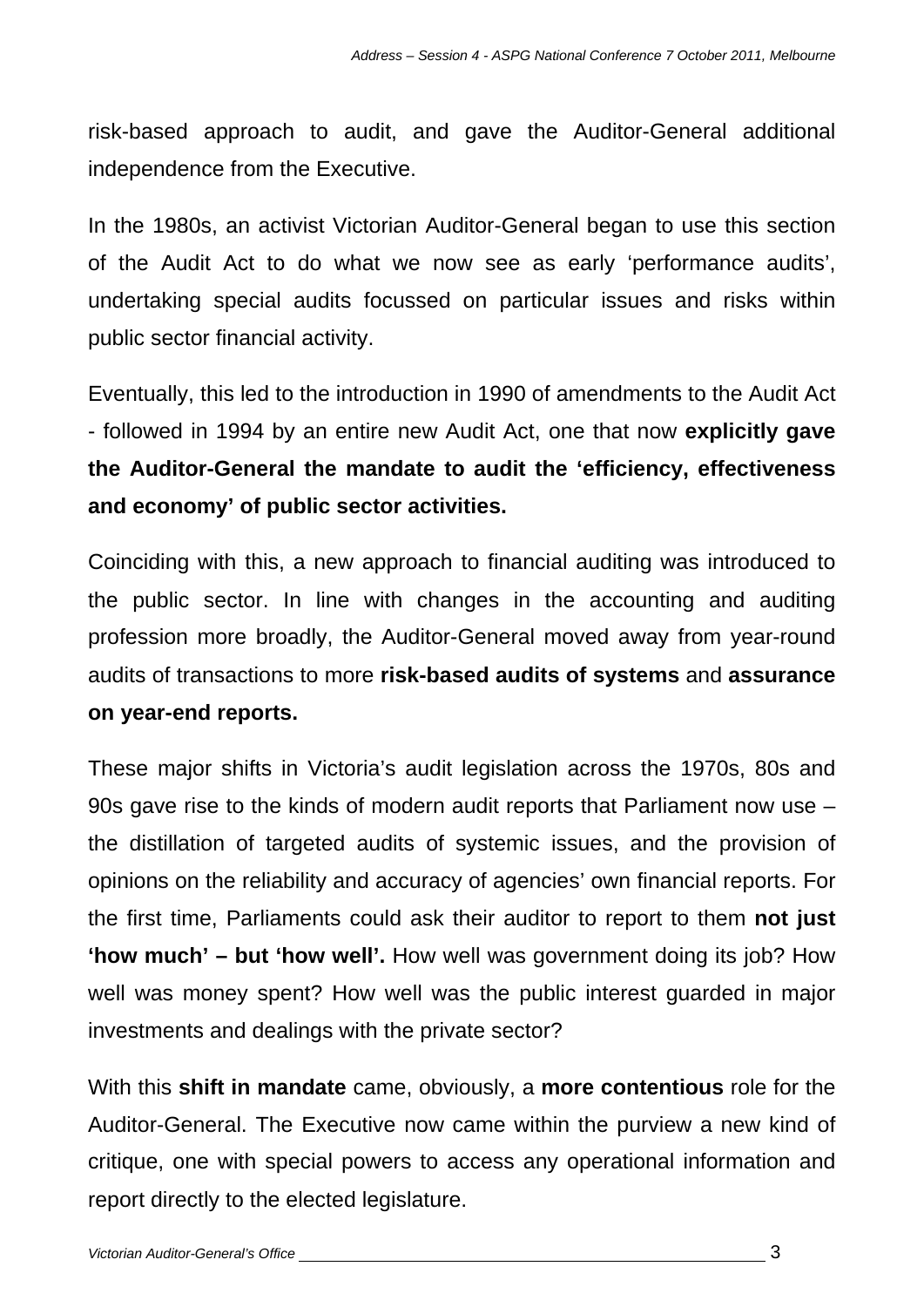risk-based approach to audit, and gave the Auditor-General additional independence from the Executive.

In the 1980s, an activist Victorian Auditor-General began to use this section of the Audit Act to do what we now see as early 'performance audits', undertaking special audits focussed on particular issues and risks within public sector financial activity.

Eventually, this led to the introduction in 1990 of amendments to the Audit Act - followed in 1994 by an entire new Audit Act, one that now **explicitly gave the Auditor-General the mandate to audit the 'efficiency, effectiveness and economy' of public sector activities.**

Coinciding with this, a new approach to financial auditing was introduced to the public sector. In line with changes in the accounting and auditing profession more broadly, the Auditor-General moved away from year-round audits of transactions to more **risk-based audits of systems** and **assurance on year-end reports.**

These major shifts in Victoria's audit legislation across the 1970s, 80s and 90s gave rise to the kinds of modern audit reports that Parliament now use – the distillation of targeted audits of systemic issues, and the provision of opinions on the reliability and accuracy of agencies' own financial reports. For the first time, Parliaments could ask their auditor to report to them **not just 'how much' – but 'how well'.** How well was government doing its job? How well was money spent? How well was the public interest guarded in major investments and dealings with the private sector?

With this **shift in mandate** came, obviously, a **more contentious** role for the Auditor-General. The Executive now came within the purview a new kind of critique, one with special powers to access any operational information and report directly to the elected legislature.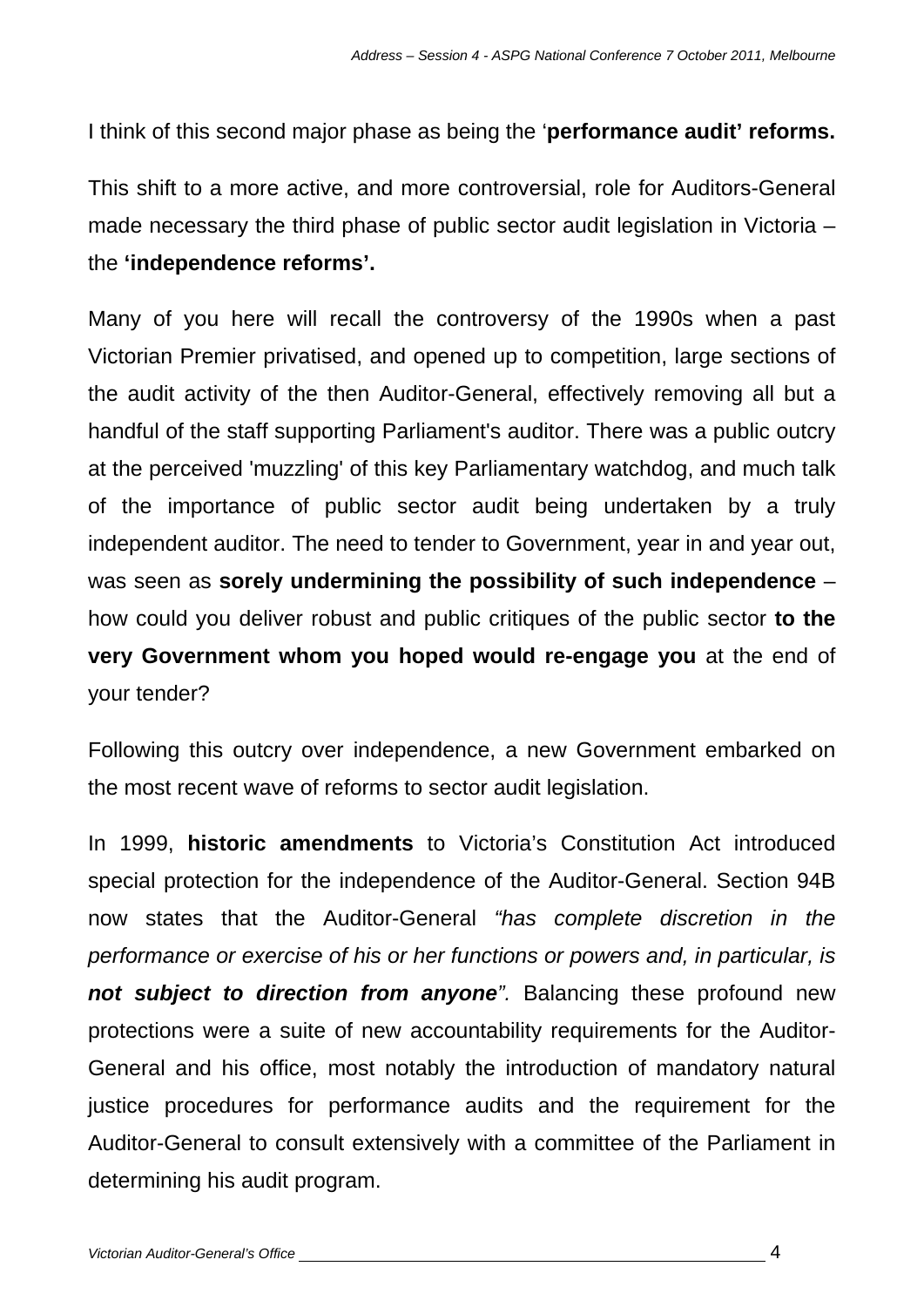I think of this second major phase as being the '**performance audit' reforms.** 

This shift to a more active, and more controversial, role for Auditors-General made necessary the third phase of public sector audit legislation in Victoria – the **'independence reforms'.**

Many of you here will recall the controversy of the 1990s when a past Victorian Premier privatised, and opened up to competition, large sections of the audit activity of the then Auditor-General, effectively removing all but a handful of the staff supporting Parliament's auditor. There was a public outcry at the perceived 'muzzling' of this key Parliamentary watchdog, and much talk of the importance of public sector audit being undertaken by a truly independent auditor. The need to tender to Government, year in and year out, was seen as **sorely undermining the possibility of such independence** – how could you deliver robust and public critiques of the public sector **to the very Government whom you hoped would re-engage you** at the end of your tender?

Following this outcry over independence, a new Government embarked on the most recent wave of reforms to sector audit legislation.

In 1999, **historic amendments** to Victoria's Constitution Act introduced special protection for the independence of the Auditor-General. Section 94B now states that the Auditor-General *"has complete discretion in the performance or exercise of his or her functions or powers and, in particular, is not subject to direction from anyone".* Balancing these profound new protections were a suite of new accountability requirements for the Auditor-General and his office, most notably the introduction of mandatory natural justice procedures for performance audits and the requirement for the Auditor-General to consult extensively with a committee of the Parliament in determining his audit program.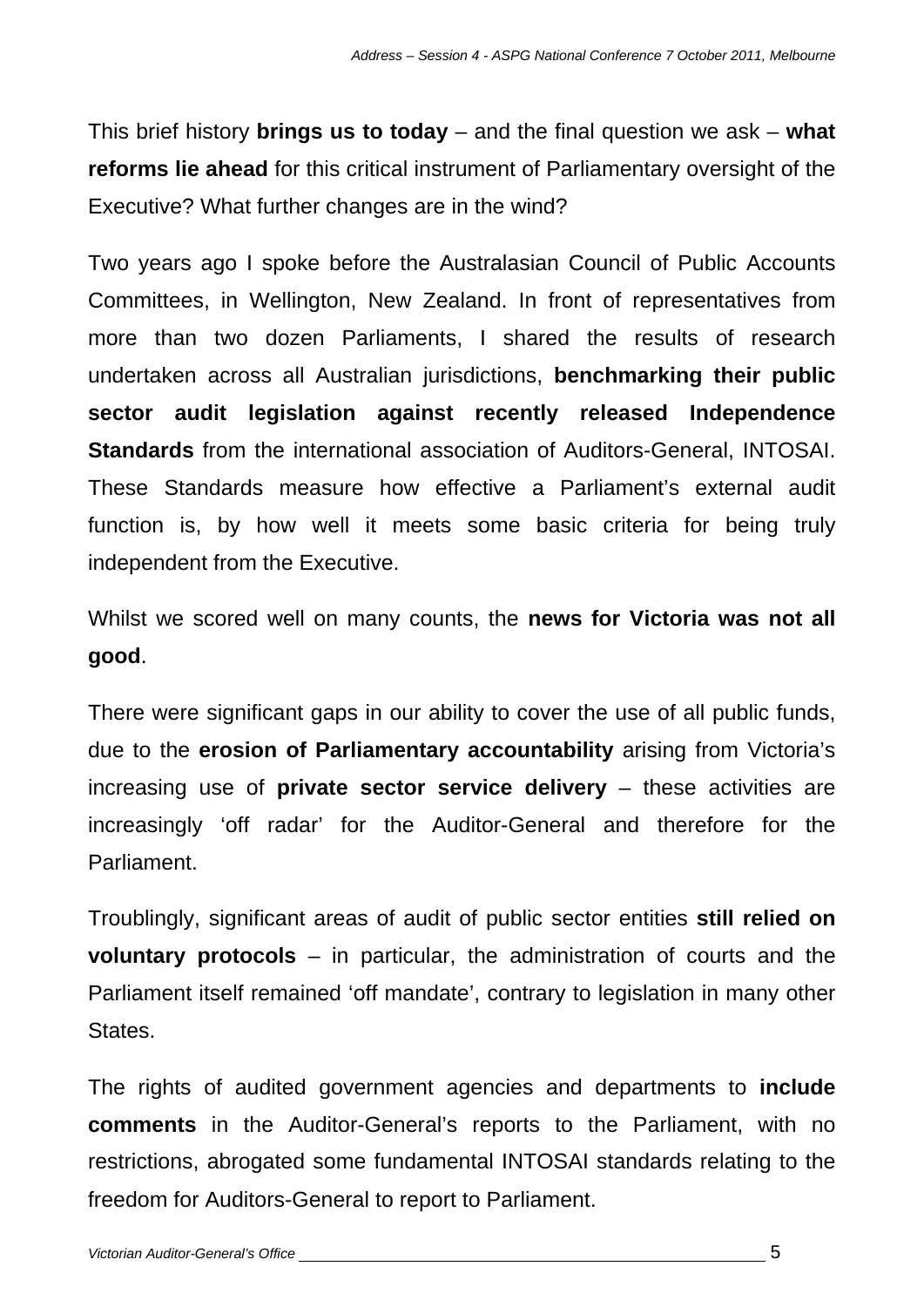This brief history **brings us to today** – and the final question we ask – **what reforms lie ahead** for this critical instrument of Parliamentary oversight of the Executive? What further changes are in the wind?

Two years ago I spoke before the Australasian Council of Public Accounts Committees, in Wellington, New Zealand. In front of representatives from more than two dozen Parliaments, I shared the results of research undertaken across all Australian jurisdictions, **benchmarking their public sector audit legislation against recently released Independence Standards** from the international association of Auditors-General, INTOSAI. These Standards measure how effective a Parliament's external audit function is, by how well it meets some basic criteria for being truly independent from the Executive.

Whilst we scored well on many counts, the **news for Victoria was not all good**.

There were significant gaps in our ability to cover the use of all public funds, due to the **erosion of Parliamentary accountability** arising from Victoria's increasing use of **private sector service delivery** – these activities are increasingly 'off radar' for the Auditor-General and therefore for the **Parliament** 

Troublingly, significant areas of audit of public sector entities **still relied on voluntary protocols** – in particular, the administration of courts and the Parliament itself remained 'off mandate', contrary to legislation in many other States.

The rights of audited government agencies and departments to **include comments** in the Auditor-General's reports to the Parliament, with no restrictions, abrogated some fundamental INTOSAI standards relating to the freedom for Auditors-General to report to Parliament.